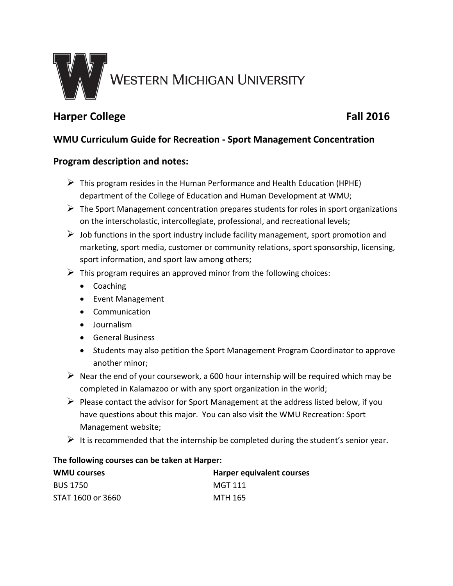

# **Harper College Fall 2016**

## **WMU Curriculum Guide for Recreation - Sport Management Concentration**

### **Program description and notes:**

- $\triangleright$  This program resides in the Human Performance and Health Education (HPHE) department of the College of Education and Human Development at WMU;
- $\triangleright$  The Sport Management concentration prepares students for roles in sport organizations on the interscholastic, intercollegiate, professional, and recreational levels;
- $\triangleright$  Job functions in the sport industry include facility management, sport promotion and marketing, sport media, customer or community relations, sport sponsorship, licensing, sport information, and sport law among others;
- $\triangleright$  This program requires an approved minor from the following choices:
	- Coaching
	- Event Management
	- Communication
	- Journalism
	- General Business
	- Students may also petition the Sport Management Program Coordinator to approve another minor;
- $\triangleright$  Near the end of your coursework, a 600 hour internship will be required which may be completed in Kalamazoo or with any sport organization in the world;
- $\triangleright$  Please contact the advisor for Sport Management at the address listed below, if you have questions about this major. You can also visit the WMU Recreation: Sport Management website;
- $\triangleright$  It is recommended that the internship be completed during the student's senior year.

#### **The following courses can be taken at Harper:**

| <b>WMU courses</b> | <b>Harper equivalent courses</b> |
|--------------------|----------------------------------|
| <b>BUS 1750</b>    | MGT 111                          |
| STAT 1600 or 3660  | MTH 165                          |